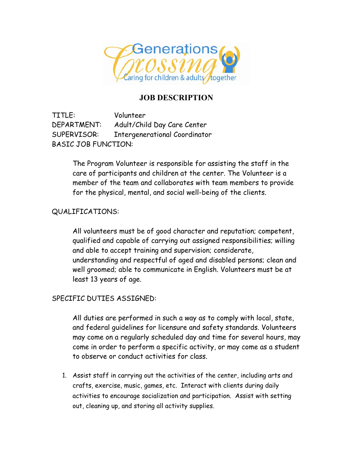

## **JOB DESCRIPTION**

TITLE: Volunteer DEPARTMENT: Adult/Child Day Care Center SUPERVISOR: Intergenerational Coordinator BASIC JOB FUNCTION:

> The Program Volunteer is responsible for assisting the staff in the care of participants and children at the center. The Volunteer is a member of the team and collaborates with team members to provide for the physical, mental, and social well-being of the clients.

## QUALIFICATIONS:

All volunteers must be of good character and reputation; competent, qualified and capable of carrying out assigned responsibilities; willing and able to accept training and supervision; considerate, understanding and respectful of aged and disabled persons; clean and well groomed; able to communicate in English. Volunteers must be at least 13 years of age.

## SPECIFIC DUTIES ASSIGNED:

All duties are performed in such a way as to comply with local, state, and federal guidelines for licensure and safety standards. Volunteers may come on a regularly scheduled day and time for several hours, may come in order to perform a specific activity, or may come as a student to observe or conduct activities for class.

1. Assist staff in carrying out the activities of the center, including arts and crafts, exercise, music, games, etc. Interact with clients during daily activities to encourage socialization and participation. Assist with setting out, cleaning up, and storing all activity supplies.